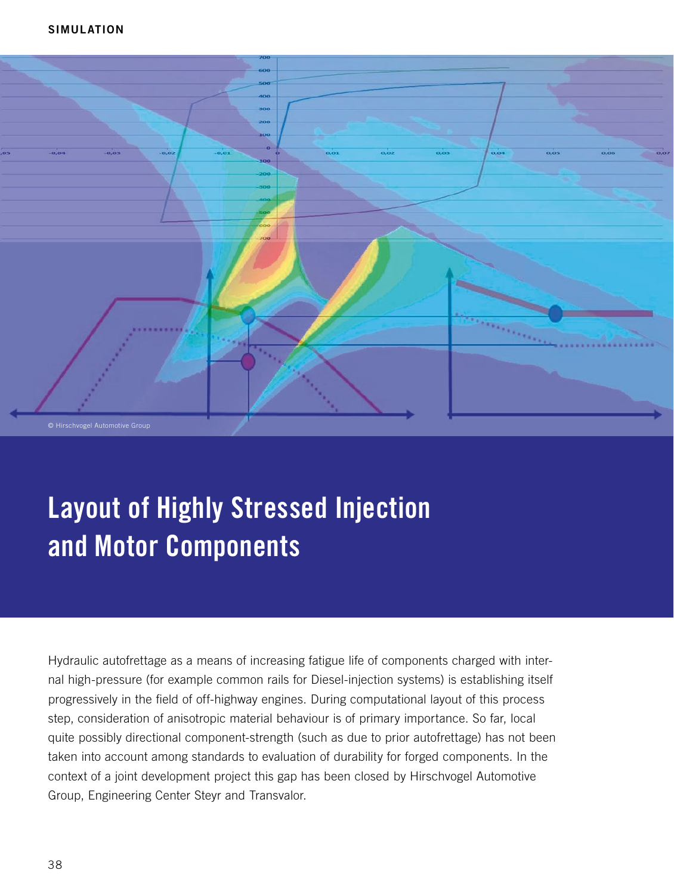### SIMULATION



# Layout of Highly Stressed Injection and Motor Components

Hydraulic autofrettage as a means of increasing fatigue life of components charged with internal high-pressure (for example common rails for Diesel-injection systems) is establishing itself progressively in the field of off-highway engines. During computational layout of this process step, consideration of anisotropic material behaviour is of primary importance. So far, local quite possibly directional component-strength (such as due to prior autofrettage) has not been taken into account among standards to evaluation of durability for forged components. In the context of a joint development project this gap has been closed by Hirschvogel Automotive Group, Engineering Center Steyr and Transvalor.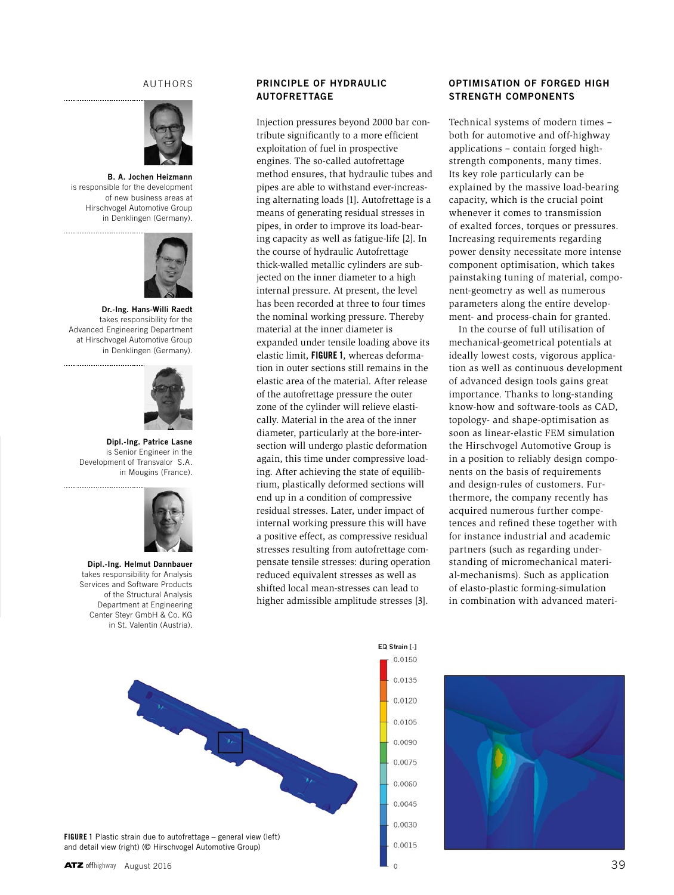#### AUTHORS



B. A. Jochen Heizmann is responsible for the development of new business areas at Hirschvogel Automotive Group in Denklingen (Germany).



Dr.-Ing. Hans-Willi Raedt takes responsibility for the Advanced Engineering Department at Hirschvogel Automotive Group in Denklingen (Germany).



Dipl.-Ing. Patrice Lasne is Senior Engineer in the Development of Transvalor S.A. in Mougins (France).



Dipl.-Ing. Helmut Dannbauer takes responsibility for Analysis Services and Software Products of the Structural Analysis Department at Engineering Center Steyr GmbH & Co. KG in St. Valentin (Austria).

#### PRINCIPLE OF HYDRAULIC **AUTOFRETTAGE**

Injection pressures beyond 2000 bar contribute significantly to a more efficient exploitation of fuel in prospective engines. The so-called autofrettage method ensures, that hydraulic tubes and pipes are able to withstand ever-increasing alternating loads [1]. Autofrettage is a means of generating residual stresses in pipes, in order to improve its load-bearing capacity as well as fatigue-life [2]. In the course of hydraulic Autofrettage thick-walled metallic cylinders are subjected on the inner diameter to a high internal pressure. At present, the level has been recorded at three to four times the nominal working pressure. Thereby material at the inner diameter is expanded under tensile loading above its elastic limit, FIGURE 1, whereas deformation in outer sections still remains in the elastic area of the material. After release of the autofrettage pressure the outer zone of the cylinder will relieve elastically. Material in the area of the inner diameter, particularly at the bore-intersection will undergo plastic deformation again, this time under compressive loading. After achieving the state of equilibrium, plastically deformed sections will end up in a condition of compressive residual stresses. Later, under impact of internal working pressure this will have a positive effect, as compressive residual stresses resulting from autofrettage compensate tensile stresses: during operation reduced equivalent stresses as well as shifted local mean-stresses can lead to higher admissible amplitude stresses [3].

#### OPTIMISATION OF FORGED HIGH STRENGTH COMPONENTS

Technical systems of modern times – both for automotive and off-highway applications – contain forged highstrength components, many times. Its key role particularly can be explained by the massive load-bearing capacity, which is the crucial point whenever it comes to transmission of exalted forces, torques or pressures. Increasing requirements regarding power density necessitate more intense component optimisation, which takes painstaking tuning of material, component-geometry as well as numerous parameters along the entire development- and process-chain for granted.

In the course of full utilisation of mechanical-geometrical potentials at ideally lowest costs, vigorous application as well as continuous development of advanced design tools gains great importance. Thanks to long-standing know-how and software-tools as CAD, topology- and shape-optimisation as soon as linear-elastic FEM simulation the Hirschvogel Automotive Group is in a position to reliably design components on the basis of requirements and design-rules of customers. Furthermore, the company recently has acquired numerous further competences and refined these together with for instance industrial and academic partners (such as regarding understanding of micromechanical material-mechanisms). Such as application of elasto-plastic forming-simulation in combination with advanced materi-



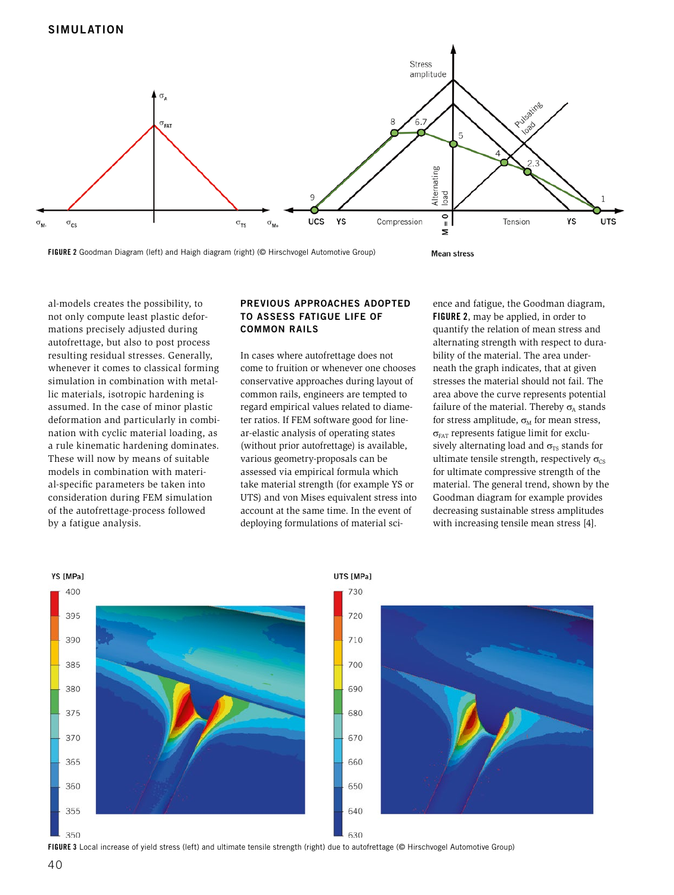

FIGURE 2 Goodman Diagram (left) and Haigh diagram (right) (© Hirschvogel Automotive Group)

al-models creates the possibility, to not only compute least plastic deformations precisely adjusted during autofrettage, but also to post process resulting residual stresses. Generally, whenever it comes to classical forming simulation in combination with metallic materials, isotropic hardening is assumed. In the case of minor plastic deformation and particularly in combination with cyclic material loading, as a rule kinematic hardening dominates. These will now by means of suitable models in combination with material-specific parameters be taken into consideration during FEM simulation of the autofrettage-process followed by a fatigue analysis.

#### PREVIOUS APPROACHES ADOPTED TO ASSESS FATIGUE LIFE OF COMMON RAILS

In cases where autofrettage does not come to fruition or whenever one chooses conservative approaches during layout of common rails, engineers are tempted to regard empirical values related to diameter ratios. If FEM software good for linear-elastic analysis of operating states (without prior autofrettage) is available, various geometry-proposals can be assessed via empirical formula which take material strength (for example YS or UTS) and von Mises equivalent stress into account at the same time. In the event of deploying formulations of material science and fatigue, the Goodman diagram, FIGURE 2, may be applied, in order to quantify the relation of mean stress and alternating strength with respect to durability of the material. The area underneath the graph indicates, that at given stresses the material should not fail. The area above the curve represents potential failure of the material. Thereby  $\sigma_A$  stands for stress amplitude,  $\sigma_M$  for mean stress,  $\sigma_{\text{FAT}}$  represents fatigue limit for exclusively alternating load and  $\sigma_{\text{TS}}$  stands for ultimate tensile strength, respectively  $\sigma_{\rm cs}$ for ultimate compressive strength of the material. The general trend, shown by the Goodman diagram for example provides decreasing sustainable stress amplitudes with increasing tensile mean stress [4].



FIGURE 3 Local increase of yield stress (left) and ultimate tensile strength (right) due to autofrettage (© Hirschvogel Automotive Group)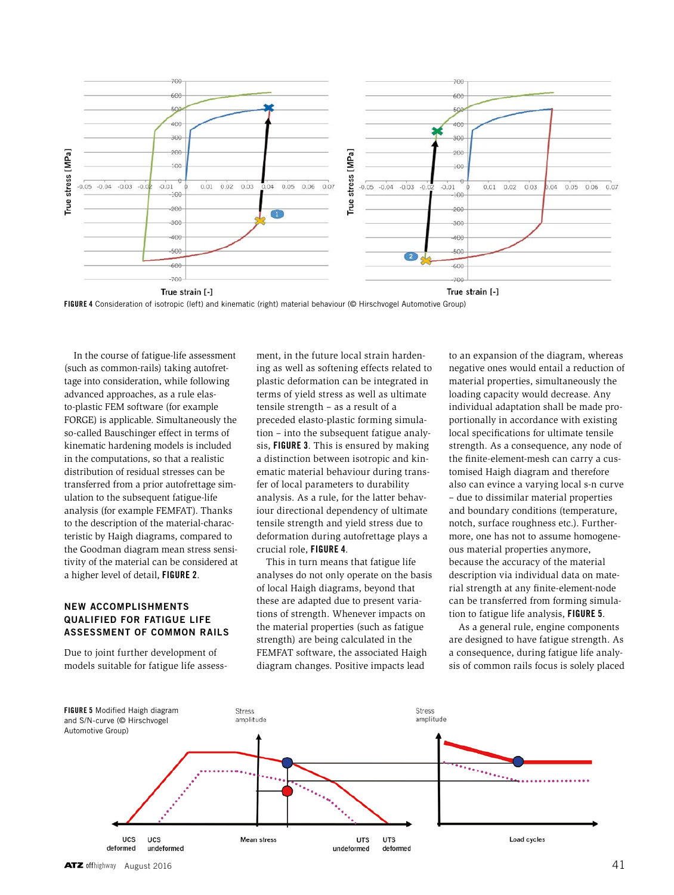

FIGURE 4 Consideration of isotropic (left) and kinematic (right) material behaviour (© Hirschvogel Automotive Group)

In the course of fatigue-life assessment (such as common-rails) taking autofrettage into consideration, while following advanced approaches, as a rule elasto-plastic FEM software (for example FORGE) is applicable. Simultaneously the so-called Bauschinger effect in terms of kinematic hardening models is included in the computations, so that a realistic distribution of residual stresses can be transferred from a prior autofrettage simulation to the subsequent fatigue-life analysis (for example FEMFAT). Thanks to the description of the material-characteristic by Haigh diagrams, compared to the Goodman diagram mean stress sensitivity of the material can be considered at a higher level of detail, FIGURE 2.

#### NEW ACCOMPLISHMENTS QUALIFIED FOR FATIGUE LIFE ASSESSMENT OF COMMON RAILS

Due to joint further development of models suitable for fatigue life assessment, in the future local strain hardening as well as softening effects related to plastic deformation can be integrated in terms of yield stress as well as ultimate tensile strength – as a result of a preceded elasto-plastic forming simulation – into the subsequent fatigue analysis, FIGURE 3. This is ensured by making a distinction between isotropic and kinematic material behaviour during transfer of local parameters to durability analysis. As a rule, for the latter behaviour directional dependency of ultimate tensile strength and yield stress due to deformation during autofrettage plays a crucial role, FIGURE 4.

This in turn means that fatigue life analyses do not only operate on the basis of local Haigh diagrams, beyond that these are adapted due to present variations of strength. Whenever impacts on the material properties (such as fatigue strength) are being calculated in the FEMFAT software, the associated Haigh diagram changes. Positive impacts lead

to an expansion of the diagram, whereas negative ones would entail a reduction of material properties, simultaneously the loading capacity would decrease. Any individual adaptation shall be made proportionally in accordance with existing local specifications for ultimate tensile strength. As a consequence, any node of the finite-element-mesh can carry a customised Haigh diagram and therefore also can evince a varying local s-n curve – due to dissimilar material properties and boundary conditions (temperature, notch, surface roughness etc.). Furthermore, one has not to assume homogeneous material properties anymore, because the accuracy of the material description via individual data on material strength at any finite-element-node can be transferred from forming simulation to fatigue life analysis, FIGURE 5.

As a general rule, engine components are designed to have fatigue strength. As a consequence, during fatigue life analysis of common rails focus is solely placed